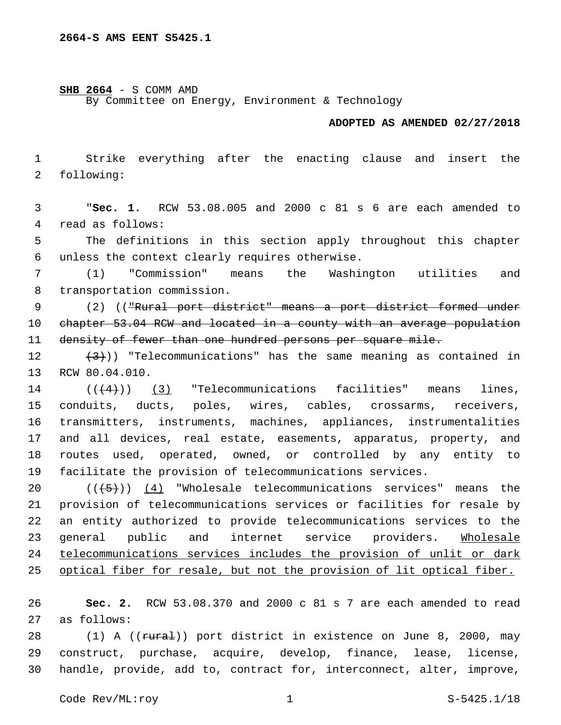### **SHB 2664** - S COMM AMD

By Committee on Energy, Environment & Technology

### **ADOPTED AS AMENDED 02/27/2018**

 Strike everything after the enacting clause and insert the 2 following:

 "**Sec. 1.** RCW 53.08.005 and 2000 c 81 s 6 are each amended to 4 read as follows:

 The definitions in this section apply throughout this chapter 6 unless the context clearly requires otherwise.

 (1) "Commission" means the Washington utilities and 8 transportation commission.

 (2) (("Rural port district" means a port district formed under chapter 53.04 RCW and located in a county with an average population density of fewer than one hundred persons per square mile.

 $(3)$ )) "Telecommunications" has the same meaning as contained in 13 RCW 80.04.010.

  $((+4))$   $(3)$  "Telecommunications facilities" means lines, conduits, ducts, poles, wires, cables, crossarms, receivers, transmitters, instruments, machines, appliances, instrumentalities and all devices, real estate, easements, apparatus, property, and routes used, operated, owned, or controlled by any entity to facilitate the provision of telecommunications services.

 $((+5+))$  (4) "Wholesale telecommunications services" means the provision of telecommunications services or facilities for resale by an entity authorized to provide telecommunications services to the general public and internet service providers. Wholesale telecommunications services includes the provision of unlit or dark 25 optical fiber for resale, but not the provision of lit optical fiber.

 **Sec. 2.** RCW 53.08.370 and 2000 c 81 s 7 are each amended to read 27 as follows:

28 (1) A ((rural)) port district in existence on June 8, 2000, may construct, purchase, acquire, develop, finance, lease, license, handle, provide, add to, contract for, interconnect, alter, improve,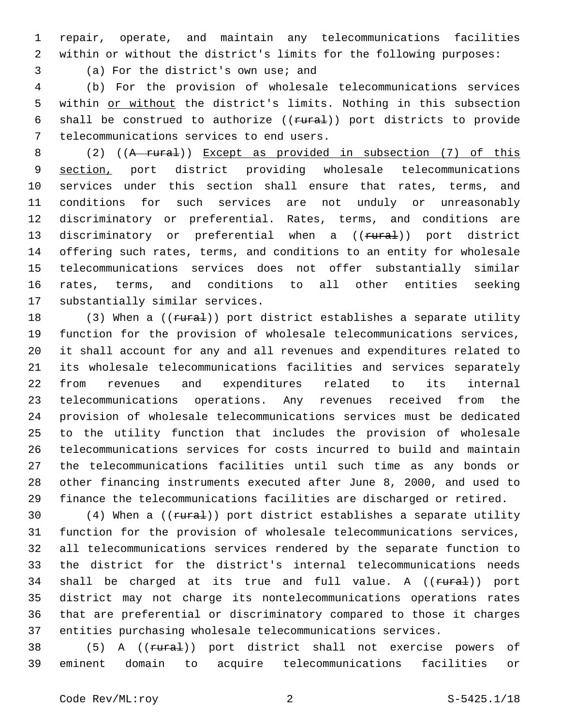repair, operate, and maintain any telecommunications facilities within or without the district's limits for the following purposes:

3 (a) For the district's own use; and

 (b) For the provision of wholesale telecommunications services within or without the district's limits. Nothing in this subsection 6 shall be construed to authorize ((rural)) port districts to provide 7 telecommunications services to end users.

 (2) ((A rural)) Except as provided in subsection (7) of this section, port district providing wholesale telecommunications services under this section shall ensure that rates, terms, and conditions for such services are not unduly or unreasonably discriminatory or preferential. Rates, terms, and conditions are 13 discriminatory or preferential when a ((rural)) port district offering such rates, terms, and conditions to an entity for wholesale telecommunications services does not offer substantially similar rates, terms, and conditions to all other entities seeking 17 substantially similar services.

18 (3) When a ((rural)) port district establishes a separate utility function for the provision of wholesale telecommunications services, it shall account for any and all revenues and expenditures related to its wholesale telecommunications facilities and services separately from revenues and expenditures related to its internal telecommunications operations. Any revenues received from the provision of wholesale telecommunications services must be dedicated to the utility function that includes the provision of wholesale telecommunications services for costs incurred to build and maintain the telecommunications facilities until such time as any bonds or other financing instruments executed after June 8, 2000, and used to finance the telecommunications facilities are discharged or retired.

30 (4) When a ((rural)) port district establishes a separate utility function for the provision of wholesale telecommunications services, all telecommunications services rendered by the separate function to the district for the district's internal telecommunications needs 34 shall be charged at its true and full value. A ((rural)) port district may not charge its nontelecommunications operations rates that are preferential or discriminatory compared to those it charges entities purchasing wholesale telecommunications services.

38 (5) A ((rural)) port district shall not exercise powers of eminent domain to acquire telecommunications facilities or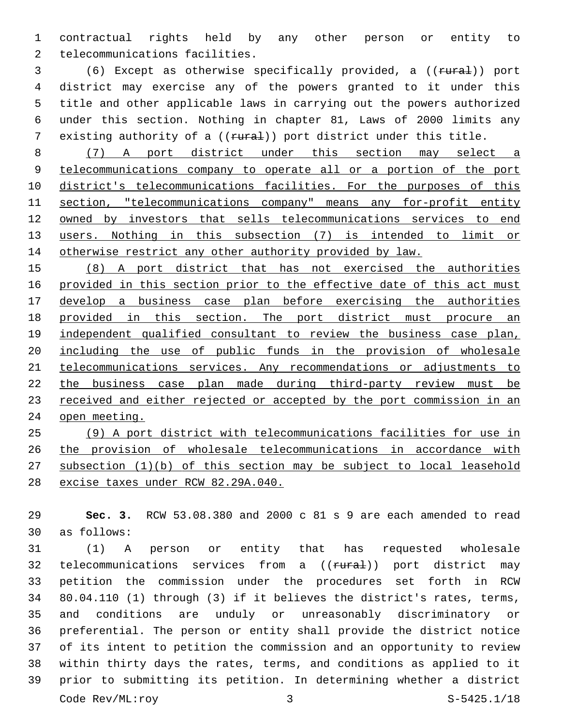contractual rights held by any other person or entity to 2 telecommunications facilities.

3 (6) Except as otherwise specifically provided, a ((rural)) port district may exercise any of the powers granted to it under this title and other applicable laws in carrying out the powers authorized under this section. Nothing in chapter 81, Laws of 2000 limits any 7 existing authority of a ((rural)) port district under this title.

 (7) A port district under this section may select a telecommunications company to operate all or a portion of the port district's telecommunications facilities. For the purposes of this section, "telecommunications company" means any for-profit entity owned by investors that sells telecommunications services to end users. Nothing in this subsection (7) is intended to limit or 14 otherwise restrict any other authority provided by law.

 (8) A port district that has not exercised the authorities provided in this section prior to the effective date of this act must develop a business case plan before exercising the authorities provided in this section. The port district must procure an 19 independent qualified consultant to review the business case plan, including the use of public funds in the provision of wholesale telecommunications services. Any recommendations or adjustments to the business case plan made during third-party review must be received and either rejected or accepted by the port commission in an open meeting.

 (9) A port district with telecommunications facilities for use in the provision of wholesale telecommunications in accordance with subsection (1)(b) of this section may be subject to local leasehold excise taxes under RCW 82.29A.040.

 **Sec. 3.** RCW 53.08.380 and 2000 c 81 s 9 are each amended to read as follows:30

 (1) A person or entity that has requested wholesale 32 telecommunications services from a ((rural)) port district may petition the commission under the procedures set forth in RCW 80.04.110 (1) through (3) if it believes the district's rates, terms, and conditions are unduly or unreasonably discriminatory or preferential. The person or entity shall provide the district notice of its intent to petition the commission and an opportunity to review within thirty days the rates, terms, and conditions as applied to it prior to submitting its petition. In determining whether a district Code Rev/ML:roy 3 3 S-5425.1/18